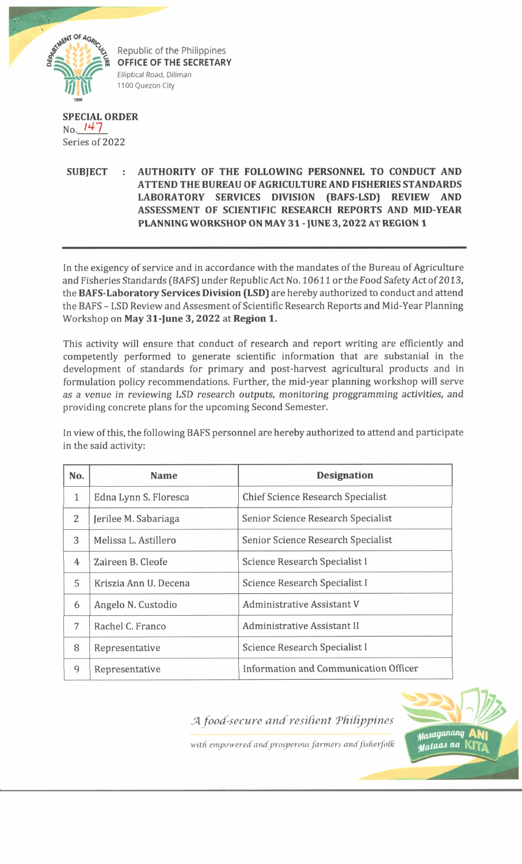

Republic of the Philippines **OFFICE OF THE SECRETARY** Elliptical Road, Diliman 1100 Quezon City

## **SPECIAL ORDER** No. *l4l* Series of 2022

## **SUBJECT : AUTHORITY OF THE FOLLOWING PERSONNEL TO CONDUCT AND ATTEND THE BUREAU OF AGRICULTURE AND FISHERIES STANDARDS LABORATORY SERVICES DIVISION (BAFS-LSD) REVIEW AND ASSESSMENT OF SCIENTIFIC RESEARCH REPORTS AND MID YEAR PLANNING WORKSHOP ON MAY 31 - JUNE 3,2022 AT REGION 1**

In the exigency of service and in accordance with the mandates of the Bureau of Agriculture and Fisheries Standards (BAFS) under Republic Act No. 10611 or the Food Safety Act of 2013, the **BAFS-Laboratory Services Division (LSD)** are hereby authorized to conduct and attend the BAFS - LSD Review and Assesment of Scientific Research Reports and Mid-Year Planning Workshop on **May 31-June 3, 2022** at **Region 1.**

This activity will ensure that conduct of research and report writing are efficiently and competently performed to generate scientific information that are substanial in the development of standards for primary and post-harvest agricultural products and in formulation policy recommendations. Further, the mid-year planning workshop will serve *as a venue in reviewing LSD research outputs, monitoring proggramming activities, and* providing concrete plans for the upcoming Second Semester.

in view of this, the following BAFS personnel are hereby authorized to attend and participate in the said activity:

| No.          | <b>Name</b>           | <b>Designation</b>                       |
|--------------|-----------------------|------------------------------------------|
| $\mathbf{1}$ | Edna Lynn S. Floresca | <b>Chief Science Research Specialist</b> |
| 2            | Jerilee M. Sabariaga  | Senior Science Research Specialist       |
| 3            | Melissa L. Astillero  | Senior Science Research Specialist       |
| 4            | Zaireen B. Cleofe     | Science Research Specialist I            |
| 5            | Kriszia Ann U. Decena | Science Research Specialist I            |
| 6            | Angelo N. Custodio    | <b>Administrative Assistant V</b>        |
| 7            | Rachel C. Franco      | Administrative Assistant II              |
| 8            | Representative        | Science Research Specialist I            |
| 9            | Representative        | Information and Communication Officer    |

*JA food-secure and resilient Tfiifippines*



with empowered and prosperous farmers and fisherfolk